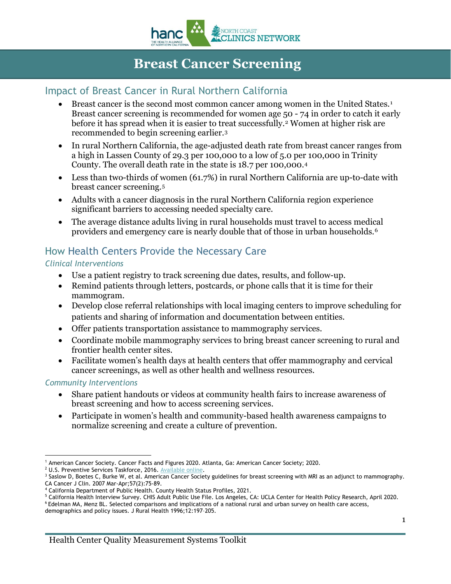

# **Breast Cancer Screening**

# Impact of Breast Cancer in Rural Northern California

- Breast cancer is the second most common cancer among women in the United States.[1](#page-0-0) Breast cancer screening is recommended for women age 50 - 74 in order to catch it early before it has spread when it is easier to treat successfully.<sup>[2](#page-0-1)</sup> Women at higher risk are recommended to begin screening earlier.[3](#page-0-2)
- In rural Northern California, the age-adjusted death rate from breast cancer ranges from a high in Lassen County of 29.3 per 100,000 to a low of 5.0 per 100,000 in Trinity County. The overall death rate in the state is 18.7 per 100,000[.4](#page-0-3)
- Less than two-thirds of women (61.7%) in rural Northern California are up-to-date with breast cancer screening.[5](#page-0-4)
- Adults with a cancer diagnosis in the rural Northern California region experience significant barriers to accessing needed specialty care.
- The average distance adults living in rural households must travel to access medical providers and emergency care is nearly double that of those in urban households.[6](#page-0-5)

## How Health Centers Provide the Necessary Care

#### *Clinical Interventions*

- Use a patient registry to track screening due dates, results, and follow-up.
- Remind patients through letters, postcards, or phone calls that it is time for their mammogram.
- Develop close referral relationships with local imaging centers to improve scheduling for patients and sharing of information and documentation between entities.
- Offer patients transportation assistance to mammography services.
- Coordinate mobile mammography services to bring breast cancer screening to rural and frontier health center sites.
- Facilitate women's health days at health centers that offer mammography and cervical cancer screenings, as well as other health and wellness resources.

#### *Community Interventions*

- Share patient handouts or videos at community health fairs to increase awareness of breast screening and how to access screening services.
- Participate in women's health and community-based health awareness campaigns to normalize screening and create a culture of prevention.

<span id="page-0-5"></span><span id="page-0-4"></span>

 $\overline{a}$ <sup>1</sup> American Cancer Society. Cancer Facts and Figures 2020. Atlanta, Ga: American Cancer Society; 2020.<br><sup>2</sup> U.S. Preventive Services Taskforce, 2016. Available online.

<span id="page-0-1"></span><span id="page-0-0"></span>

<span id="page-0-2"></span><sup>&</sup>lt;sup>3</sup> Saslow D, Boetes C, Burke W, et al. American Cancer Society guidelines for breast screening with MRI as an adjunct to mammography. CA Cancer J Clin. 2007 Mar-Apr;57(2):75-89.<br>4 California Department of Public Health. County Health Status Profiles, 2021.

<span id="page-0-3"></span>

<sup>&</sup>lt;sup>5</sup> California Health Interview Survey. CHIS Adult Public Use File. Los Angeles, CA: UCLA Center for Health Policy Research, April 2020.<br><sup>6</sup> Edelman MA, Menz BL. Selected comparisons and implications of a national rural an

demographics and policy issues. J Rural Health 1996;12:197–205.